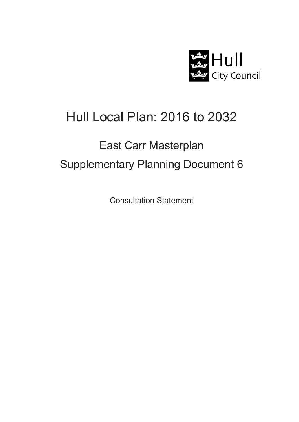

## Hull Local Plan: 2016 to 2032

# East Carr Masterplan Supplementary Planning Document 6

Consultation Statement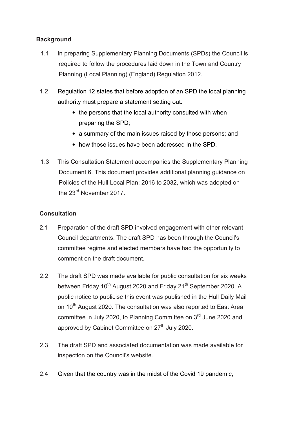## **Background**

- 1.1 In preparing Supplementary Planning Documents (SPDs) the Council is required to follow the procedures laid down in the Town and Country Planning (Local Planning) (England) Regulation 2012.
- 1.2 Regulation 12 states that before adoption of an SPD the local planning authority must prepare a statement setting out:
	- the persons that the local authority consulted with when preparing the SPD;
	- a summary of the main issues raised by those persons; and
	- how those issues have been addressed in the SPD.
- 1.3 This Consultation Statement accompanies the Supplementary Planning Document 6. This document provides additional planning guidance on Policies of the Hull Local Plan: 2016 to 2032, which was adopted on the 23<sup>rd</sup> November 2017.

## **Consultation**

- 2.1 Preparation of the draft SPD involved engagement with other relevant Council departments. The draft SPD has been through the Council's committee regime and elected members have had the opportunity to comment on the draft document.
- 2.2 The draft SPD was made available for public consultation for six weeks between Friday 10<sup>th</sup> August 2020 and Friday 21<sup>th</sup> September 2020. A public notice to publicise this event was published in the Hull Daily Mail on 10<sup>th</sup> August 2020. The consultation was also reported to East Area committee in July 2020, to Planning Committee on 3<sup>rd</sup> June 2020 and approved by Cabinet Committee on  $27<sup>th</sup>$  July 2020.
- 2.3 The draft SPD and associated documentation was made available for inspection on the Council's website.
- 2.4 Given that the country was in the midst of the Covid 19 pandemic,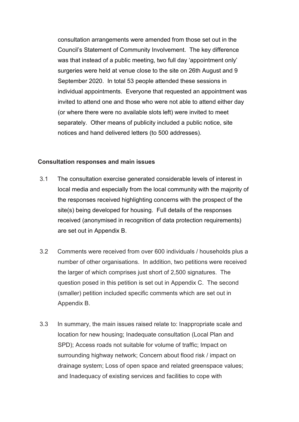consultation arrangements were amended from those set out in the Council's Statement of Community Involvement. The key difference was that instead of a public meeting, two full day 'appointment only' surgeries were held at venue close to the site on 26th August and 9 September 2020. In total 53 people attended these sessions in individual appointments. Everyone that requested an appointment was invited to attend one and those who were not able to attend either day (or where there were no available slots left) were invited to meet separately. Other means of publicity included a public notice, site notices and hand delivered letters (to 500 addresses).

#### **Consultation responses and main issues**

- 3.1 The consultation exercise generated considerable levels of interest in local media and especially from the local community with the majority of the responses received highlighting concerns with the prospect of the site(s) being developed for housing. Full details of the responses received (anonymised in recognition of data protection requirements) are set out in Appendix B.
- 3.2 Comments were received from over 600 individuals / households plus a number of other organisations. In addition, two petitions were received the larger of which comprises just short of 2,500 signatures. The question posed in this petition is set out in Appendix C. The second (smaller) petition included specific comments which are set out in Appendix B.
- 3.3 In summary, the main issues raised relate to: Inappropriate scale and location for new housing; Inadequate consultation (Local Plan and SPD); Access roads not suitable for volume of traffic; Impact on surrounding highway network; Concern about flood risk / impact on drainage system; Loss of open space and related greenspace values; and Inadequacy of existing services and facilities to cope with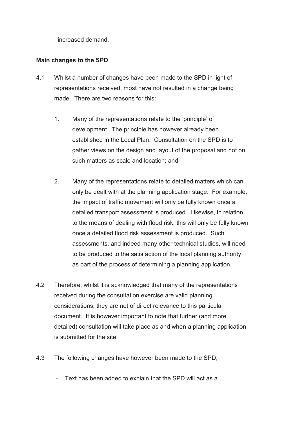increased demand.

## **Main changes to the SPD**

- 4.1 Whilst a number of changes have been made to the SPD in light of representations received, most have not resulted in a change being made. There are two reasons for this:
	- 1. Many of the representations relate to the 'principle' of development. The principle has however already been established in the Local Plan. Consultation on the SPD is to gather views on the design and layout of the proposal and not on such matters as scale and location; and
	- 2. Many of the representations relate to detailed matters which can only be dealt with at the planning application stage. For example, the impact of traffic movement will only be fully known once a detailed transport assessment is produced. Likewise, in relation to the means of dealing with flood risk, this will only be fully known once a detailed flood risk assessment is produced. Such assessments, and indeed many other technical studies, will need to be produced to the satisfaction of the local planning authority as part of the process of determining a planning application.
- 4.2 Therefore, whilst it is acknowledged that many of the representations received during the consultation exercise are valid planning considerations, they are not of direct relevance to this particular document. It is however important to note that further (and more detailed) consultation will take place as and when a planning application is submitted for the site.
- 4.3 The following changes have however been made to the SPD;
	- Text has been added to explain that the SPD will act as a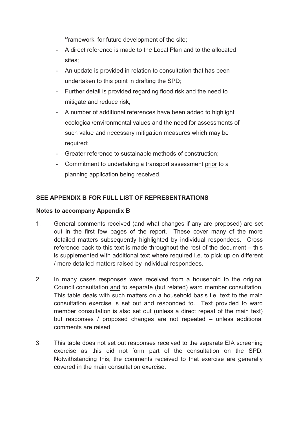'framework' for future development of the site;

- A direct reference is made to the Local Plan and to the allocated sites;
- An update is provided in relation to consultation that has been undertaken to this point in drafting the SPD;
- Further detail is provided regarding flood risk and the need to mitigate and reduce risk;
- A number of additional references have been added to highlight ecological/environmental values and the need for assessments of such value and necessary mitigation measures which may be required;
- Greater reference to sustainable methods of construction;
- Commitment to undertaking a transport assessment prior to a planning application being received.

## **SEE APPENDIX B FOR FULL LIST OF REPRESENTRATIONS**

### **Notes to accompany Appendix B**

- 1. General comments received (and what changes if any are proposed) are set out in the first few pages of the report. These cover many of the more detailed matters subsequently highlighted by individual respondees. Cross reference back to this text is made throughout the rest of the document – this is supplemented with additional text where required i.e. to pick up on different / more detailed matters raised by individual respondees.
- 2. In many cases responses were received from a household to the original Council consultation and to separate (but related) ward member consultation. This table deals with such matters on a household basis i.e. text to the main consultation exercise is set out and responded to. Text provided to ward member consultation is also set out (unless a direct repeat of the main text) but responses / proposed changes are not repeated – unless additional comments are raised.
- 3. This table does not set out responses received to the separate EIA screening exercise as this did not form part of the consultation on the SPD. Notwithstanding this, the comments received to that exercise are generally covered in the main consultation exercise.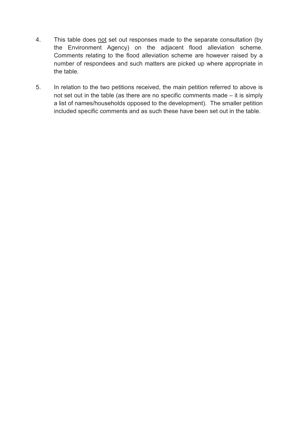- 4. This table does not set out responses made to the separate consultation (by the Environment Agency) on the adjacent flood alleviation scheme. Comments relating to the flood alleviation scheme are however raised by a number of respondees and such matters are picked up where appropriate in the table.
- 5. In relation to the two petitions received, the main petition referred to above is not set out in the table (as there are no specific comments made – it is simply a list of names/households opposed to the development). The smaller petition included specific comments and as such these have been set out in the table.